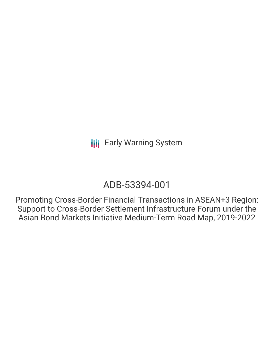## ADB-53394-001

Promoting Cross-Border Financial Transactions in ASEAN+3 Region: Support to Cross-Border Settlement Infrastructure Forum under the Asian Bond Markets Initiative Medium-Term Road Map, 2019-2022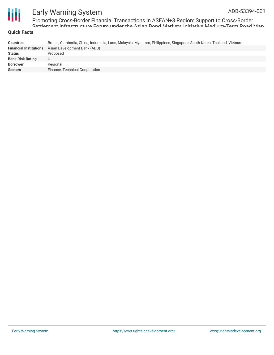

Promoting Cross-Border Financial Transactions in ASEAN+3 Region: Support to Cross-Border Settlement Infrastructure Forum under the Asian Bond Markets Initiative Medium-Term Road Map,

#### **Quick Facts**

| <b>Countries</b>              | Brunei, Cambodia, China, Indonesia, Laos, Malaysia, Myanmar, Philippines, Singapore, South Korea, Thailand, Vietnam |
|-------------------------------|---------------------------------------------------------------------------------------------------------------------|
| <b>Financial Institutions</b> | Asian Development Bank (ADB)                                                                                        |
| <b>Status</b>                 | Proposed                                                                                                            |
| <b>Bank Risk Rating</b>       | U                                                                                                                   |
| <b>Borrower</b>               | Regional                                                                                                            |
| <b>Sectors</b>                | Finance, Technical Cooperation                                                                                      |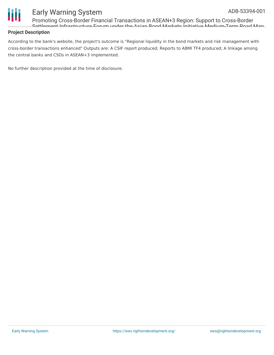

Promoting Cross-Border Financial Transactions in ASEAN+3 Region: Support to Cross-Border Settlement Infrastructure Forum under the Asian Bond Markets Initiative Medium-Term Road Map,

#### **Project Description**

According to the bank's website, the project's outcome is "Regional liquidity in the bond markets and risk management with cross-border transactions enhanced" Outputs are: A CSIF report produced; Reports to ABMI TF4 produced; A linkage among the central banks and CSDs in ASEAN+3 implemented.

No further description provided at the time of disclosure.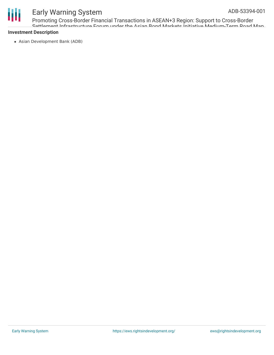# Ш

## Early Warning System

Promoting Cross-Border Financial Transactions in ASEAN+3 Region: Support to Cross-Border Settlement Infrastructure Forum under the Asian Bond Markets Initiative Medium-Term Road Map,

#### **Investment Description**

Asian Development Bank (ADB)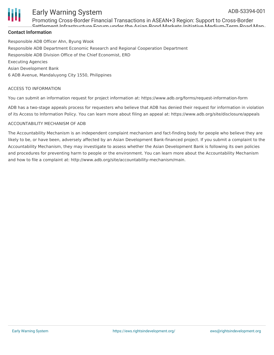

Promoting Cross-Border Financial Transactions in ASEAN+3 Region: Support to Cross-Border Settlement Infrastructure Forum under the Asian Bond Markets Initiative Medium-Term Road Map,

#### **Contact Information**

Responsible ADB Officer Ahn, Byung Wook Responsible ADB Department Economic Research and Regional Cooperation Department Responsible ADB Division Office of the Chief Economist, ERD Executing Agencies Asian Development Bank 6 ADB Avenue, Mandaluyong City 1550, Philippines

#### ACCESS TO INFORMATION

You can submit an information request for project information at: https://www.adb.org/forms/request-information-form

ADB has a two-stage appeals process for requesters who believe that ADB has denied their request for information in violation of its Access to Information Policy. You can learn more about filing an appeal at: https://www.adb.org/site/disclosure/appeals

#### ACCOUNTABILITY MECHANISM OF ADB

The Accountability Mechanism is an independent complaint mechanism and fact-finding body for people who believe they are likely to be, or have been, adversely affected by an Asian Development Bank-financed project. If you submit a complaint to the Accountability Mechanism, they may investigate to assess whether the Asian Development Bank is following its own policies and procedures for preventing harm to people or the environment. You can learn more about the Accountability Mechanism and how to file a complaint at: http://www.adb.org/site/accountability-mechanism/main.